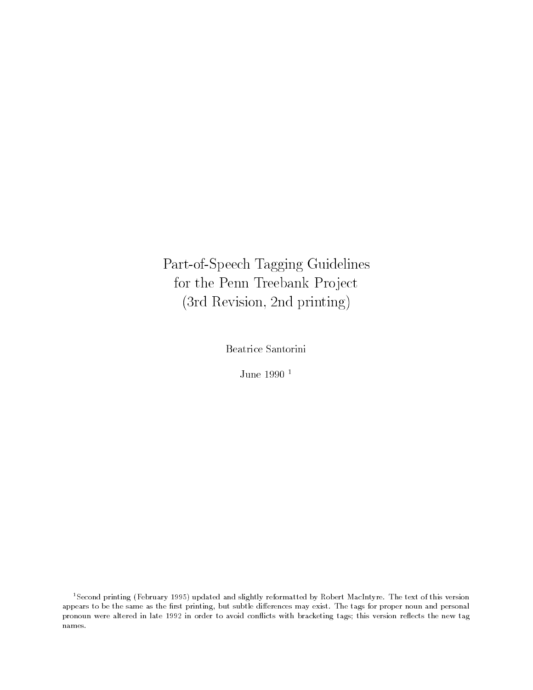Part-of-Speech Tagging Guidelinesfor the Penn Treebank Project (3rd Revision, 2nd printing)

Beatrice Santorini

June 1990 <sup>1</sup>

<sup>1</sup>Second printing (February 1995) updated and slightly reformatted by Robert MacIntyre. The text of this versionappears to be the same as the first printing, but subtle differences may exist. The tags for proper noun and personal pronoun were altered in late 1992 in order to avoid conflicts with bracketing tags; this version reflects the new tag names.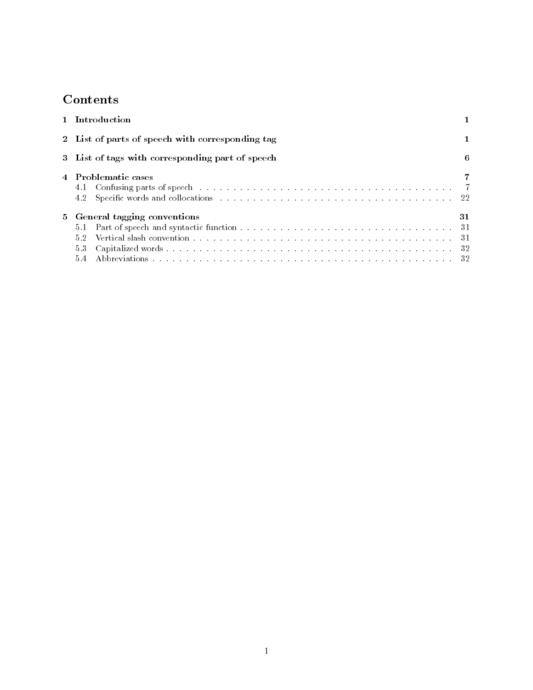# **Contents**

| 1 Introduction                                    |    |
|---------------------------------------------------|----|
| 2 List of parts of speech with corresponding tag  |    |
| 3 List of tags with corresponding part of speech  | 6  |
| 4 Problematic cases                               |    |
| 5 General tagging conventions<br>5.1<br>5.2<br>53 | 31 |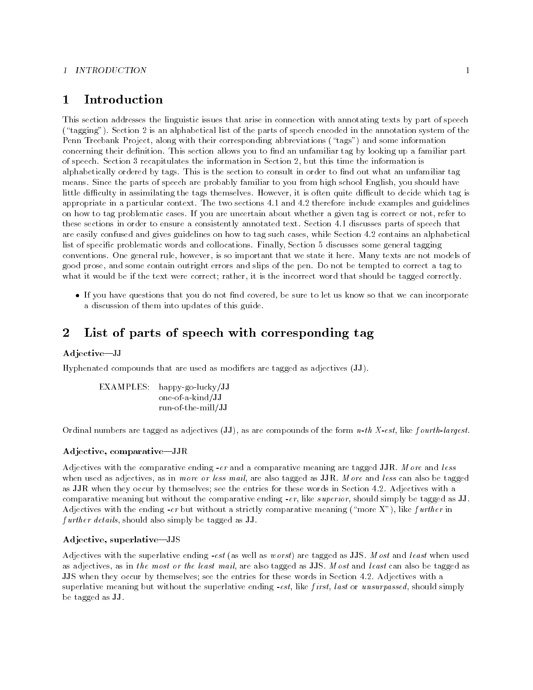#### 1 INTRODUCTION

#### Introduction  $\mathbf{1}$

This section addresses the linguistic issues that arise in connection with annotating texts by part of speech  $(\text{``tagging''}).$  Section 2 is an alphabetical list of the parts of speech encoded in the annotation system of the Penn Treebank Project, along with their corresponding abbreviations ("tags") and some information concerning their definition. This section allows you to find an unfamiliar tag by looking up a familiar part of speech. Section 3 recapitulates the information in Section 2, but this time the information is alphabetically ordered by tags. This is the section to consult in order to find out what an unfamiliar tag means. Since the parts of speech are probably familiar to you from high school English, you should have little difficulty in assimilating the tags themselves. However, it is often quite difficult to decide which tag is appropriate in a particular context. The two sections 4.1 and 4.2 therefore include examples and guidelines on how to tag problematic cases. If you are uncertain about whether a given tag is correct or not, refer to these sections in order to ensure a consistently annotated text. Section 4.1 discusses parts of speech that are easily confused and gives guidelines on how to tag such cases, while Section 4.2 contains an alphabetical list of specific problematic words and collocations. Finally, Section 5 discusses some general tagging conventions. One general rule, however, is so important that we state it here. Many texts are not models of good prose, and some contain outright errors and slips of the pen. Do not be tempted to correct a tag to what it would be if the text were correct; rather, it is the incorrect word that should be tagged correctly.

If you have questions that you do not find covered, be sure to let us know so that we can incorporate a discussion of them into updates of this guide.

#### $\overline{2}$  List of parts of speech with corresponding tag 2

#### Adjective-JJ

Hyphenated compounds that are used as modiers are tagged as adjectives (JJ).

EXAMPLES: happy-go-lucky/JJ one-of-a-kind/JJ run-of-the-mill/JJ

Ordinal numbers are tagged as adjectives  $JJ$ , as are compounds of the form *n*-th X-est, like fourth-largest.

#### Adjective, comparative-JJR

Adjectives with the comparative ending  $-er$  and a comparative meaning are tagged JJR. More and less when used as adjectives, as in more or less mail, are also tagged as JJR. More and less can also be tagged as JJR when they occur by themselves; see the entries for these words in Section 4.2. Adjectives with a comparative meaning but without the comparative ending  $-er$ , like *superior*, should simply be tagged as JJ. Adjectives with the ending -er but without a strictly comparative meaning ("more X"), like further in f urther details, should also simply be tagged as JJ.

## Adjective, superlative-JJS

Adjectives with the superlative ending -est (as well as worst) are tagged as JJS. Most and least when used as adjectives, as in the most or the least mail, are also tagged as JJS. Most and least can also be tagged as JJS when they occur by themselves; see the entries for these words in Section 4.2. Adjectives with a superlative meaning but without the superlative ending  $-est$ , like first, last or unsurpassed, should simply be tagged as JJ.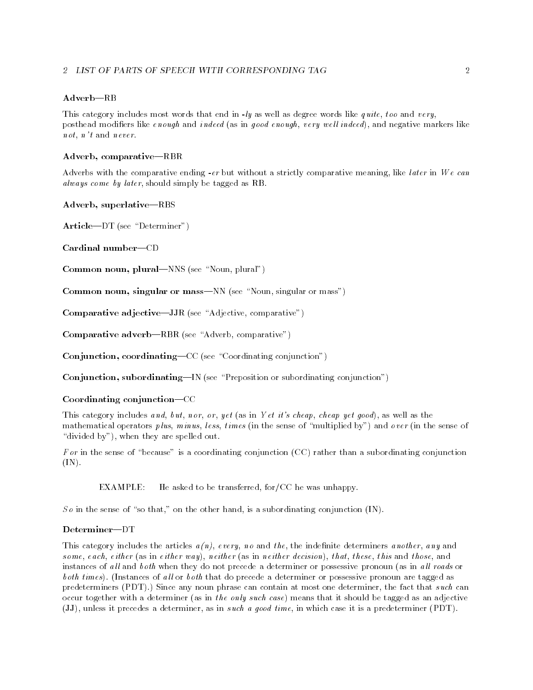#### 2 LIST OF PARTS OF SPEECH WITH CORRESPONDING TAG

#### $Adverb-RB$

This category includes most words that end in  $-ly$  as well as degree words like quite, too and very, posthead modifiers like enough and indeed (as in good enough, very well indeed), and negative markers like not, n't and never.

#### Adverb, comparative-RBR

Adverbs with the comparative ending -er but without a strictly comparative meaning, like later in We can always come by later, should simply be tagged as RB.

#### Adverb, superlative-RBS

 $Article-DT (see "Determiner")$ 

Cardinal number-CD

Common noun, plural—NNS (see "Noun, plural")

Common noun, singular or mass—NN (see "Noun, singular or mass")

Comparative adjective-JJR (see "Adjective, comparative")

Comparative adverb-RBR (see "Adverb, comparative")

Conjunction, coordinating— $CC$  (see "Coordinating conjunction")

Conjunction, subordinating—IN (see "Preposition or subordinating conjunction")

### Coordinating conjunction-CC

This category includes and, but, nor, or, yet (as in Yet it's cheap, cheap yet good), as well as the mathematical operators plus, minus, less, times (in the sense of "multiplied by") and over (in the sense of "divided by"), when they are spelled out.

For in the sense of "because" is a coordinating conjunction (CC) rather than a subordinating conjunction (IN).

EXAMPLE: He asked to be transferred, for/CC he was unhappy.

So in the sense of "so that," on the other hand, is a subordinating conjunction  $(IN)$ .

#### Determiner-DT

This category includes the articles  $a(n)$ , every, no and the, the indefinite determiners another, any and some, each, either (as in either way), neither (as in neither decision), that, these, this and those, and instances of all and both when they do not precede a determiner or possessive pronoun (as in all roads or both times). (Instances of all or both that do precede a determiner or possessive pronoun are tagged as predeterminers (PDT).) Since any noun phrase can contain at most one determiner, the fact that such can occur together with a determiner (as in the only such case) means that it should be tagged as an adjective (JJ), unless it precedes a determiner, as in such a good time, in which case it is a predeterminer (PDT).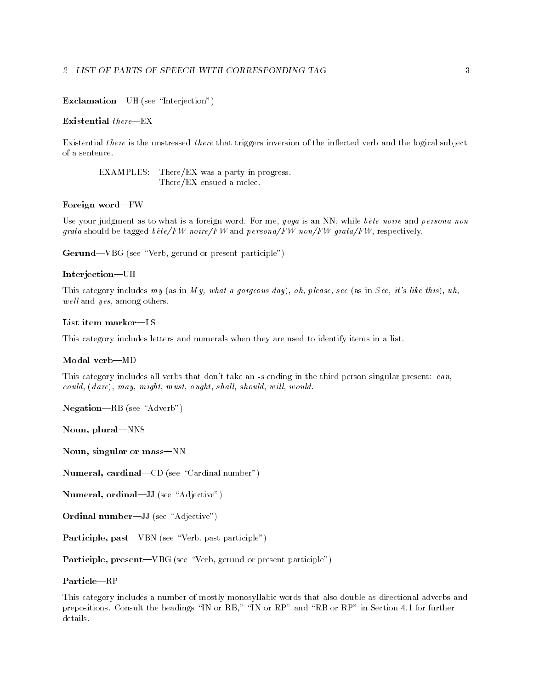#### 2 LIST OF PARTS OF SPEECH WITH CORRESPONDING TAG

#### Exclamation-UH (see "Interjection")

#### Existential  $there$ =EX

Existential there is the unstressed there that triggers inversion of the inflected verb and the logical subject of a sentence.

EXAMPLES: There/EX was a party in progress. There/EX ensued a melee.

#### Foreign word-FW

Use your judgment as to what is a foreign word. For me, yoga is an NN, while bête noire and persona non grata should be tagged  $b\hat{\epsilon}te/FW$  noire/FW and persona/FW non/FW grata/FW, respectively.

Gerund-VBG (see "Verb, gerund or present participle")

#### Interjection-UH

This category includes my (as in My, what a gorgeous day), oh, please, see (as in See, it's like this), uh,  $well$  and  $yes$ , among others.

#### List item marker-LS

This category includes letters and numerals when they are used to identify items in a list.

#### Modal verb-MD

This category includes all verbs that don't take an  $-s$  ending in the third person singular present:  $can$ ,  $c\, o\, uld, (d\, are), may, might, must, o\, u\, g\, ht, should, should, will, would.$ 

 $Negation—RB$  (see "Adverb")

Noun, plural-NNS

Noun, singular or mass-NN

Numeral, cardinal-CD (see "Cardinal number")

Numeral, ordinal-JJ (see "Adjective")

Ordinal number-JJ (see "Adjective")

Participle,  $past—VBN$  (see "Verb, past participle")

Participle, present—VBG (see "Verb, gerund or present participle")

This category includes a number of mostly monosyllabic words that also double as directional adverbs and prepositions. Consult the headings "IN or RB," "IN or RP" and "RB or RP" in Section 4.1 for further details.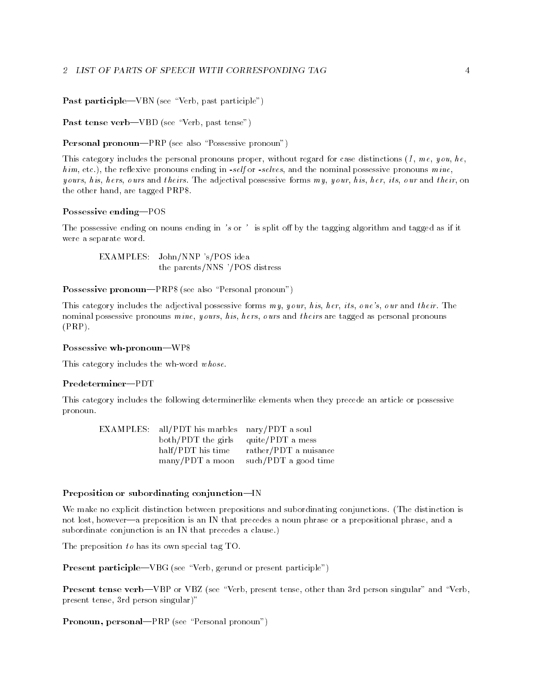Past participle—VBN (see "Verb, past participle")

Past tense verb-VBD (see "Verb, past tense")

**Personal pronoun—PRP** (see also "Possessive pronoun")

This category includes the personal pronouns proper, without regard for case distinctions  $(I, me, you, he,$  $h i m$ , etc.), the reflexive pronouns ending in -self or -selves, and the nominal possessive pronouns  $m i ne$ , yours, his, hers, ours and theirs. The adjectival possessive forms  $my$ , your, his, her, its, our and their, on the other hand, are tagged PRP\$.

#### Possessive ending-POS

The possessive ending on nouns ending in 's or ' is split off by the tagging algorithm and tagged as if it were a separate word.

EXAMPLES: John/NNP 's/POS idea the parents/NNS '/POS distress

Possessive pronoun—PRP\$ (see also "Personal pronoun")

This category includes the adjectival possessive forms  $my$ , your, his, her, its, one's, our and their. The nominal possessive pronouns  $mine$ , yours, his, hers, ours and theirs are tagged as personal pronouns (PRP).

#### Possessive wh-pronoun-WP\$

This category includes the wh-word whose.

#### Predeterminer-PDT

This category includes the following determinerlike elements when they precede an article or possessive pronoun. pronoun.

| EXAMPLES: all/PDT his marbles nary/PDT a soul |                       |
|-----------------------------------------------|-----------------------|
| both/PDT the girls quite/PDT a mess           |                       |
| half/PDT his time                             | rather/PDT a nuisance |
| many/PDT a moon                               | such/PDT a good time  |

#### Preposition or subordinating conjunction-IN

We make no explicit distinction between prepositions and subordinating conjunctions. (The distinction is not lost, however—a preposition is an IN that precedes a noun phrase or a prepositional phrase, and a subordinate conjunction is an IN that precedes a clause.)

The preposition  $to$  has its own special tag TO.

**Present participle—VBG** (see "Verb, gerund or present participle")

Present tense verb-VBP or VBZ (see "Verb, present tense, other than 3rd person singular" and "Verb, present tense, 3rd person singular)"

Pronoun, personal—PRP (see "Personal pronoun")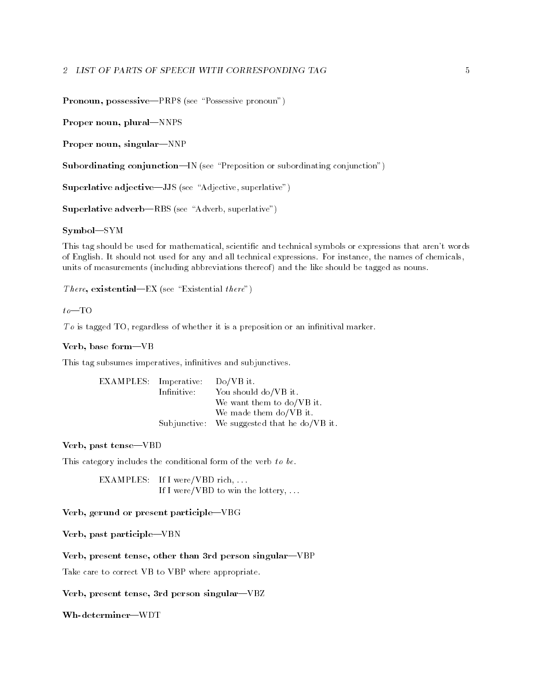Pronoun, possessive-PRP\$ (see "Possessive pronoun")

Proper noun, plural-NNPS

Proper noun, singular-NNP

Subordinating conjunction—IN (see "Preposition or subordinating conjunction")

Superlative adjective-JJS (see "Adjective, superlative")

Superlative  $adverb=RBS$  (see "Adverb, superlative")

Symbol-SYM

This tag should be used for mathematical, scientific and technical symbols or expressions that aren't words of English. It should not used for any and all technical expressions. For instance, the names of chemicals, units of measurements (including abbreviations thereof) and the like should be tagged as nouns.

There, existential—EX (see "Existential there")

#### $to$ -TO

 $To$  is tagged TO, regardless of whether it is a preposition or an infinitival marker.

#### Verb, base form-VB

This tag subsumes imperatives, infinitives and subjunctives.

| EXAMPLES: Imperative: |             | $Do/VB$ it.                                 |
|-----------------------|-------------|---------------------------------------------|
|                       | Infinitive: | You should do/VB it.                        |
|                       |             | We want them to $do/VB$ it.                 |
|                       |             | We made them do/VB it.                      |
|                       |             | Subjunctive: We suggested that he do/VB it. |

Verb, past tense-VBD

This category includes the conditional form of the verb to be.

EXAMPLES: If I were/VBD rich, ... If I were/VBD to win the lottery, ...

#### Verb, gerund or present participle-VBG

Verb, past participle-VBN

Verb, present tense, other than 3rd person singular-VBP

Take care to correct VB to VBP where appropriate.

Verb, present tense, 3rd person singular-VBZ

Wh-determiner-WDT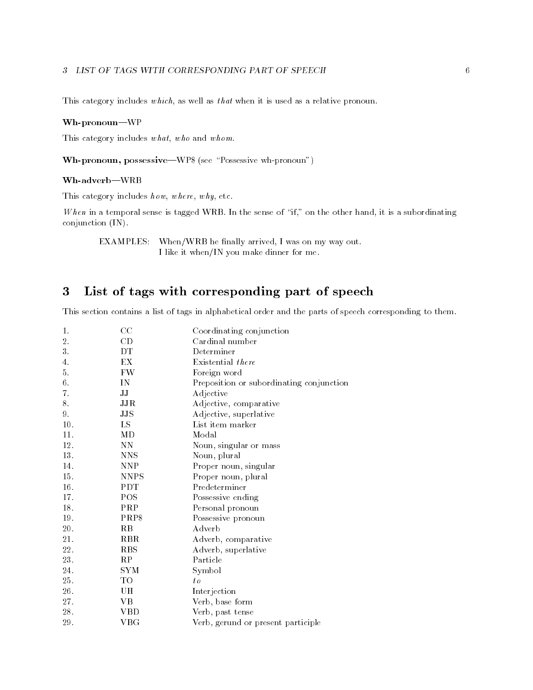#### 3 LIST OF TAGS WITH CORRESPONDING PART OF SPEECH

This category includes which, as well as that when it is used as a relative pronoun.

#### Wh-pronoun-WP

This category includes what, who and whom.

Wh-pronoun, possessive—WP\$ (see "Possessive wh-pronoun")

#### Wh-adverb|WRB

This category includes  $h \,ow$ ,  $where$ ,  $w \,hy$ , etc.

When in a temporal sense is tagged WRB. In the sense of "if," on the other hand, it is a subordinating conjunction (IN).

EXAMPLES: When/WRB he finally arrived, I was on my way out. I like it when/IN you make dinner for me.

#### 3List of tags with corresponding part of speech

This section contains a list of tags in alphabetical order and the parts of speech corresponding to them.

| 1.  | CC             | Coordinating conjunction                 |
|-----|----------------|------------------------------------------|
| 2.  | CD             | Cardinal number                          |
| 3.  | DТ             | Determiner                               |
| 4.  | EX             | Existential there                        |
| 5.  | FW             | Foreign word                             |
| 6.  | IN             | Preposition or subordinating conjunction |
| 7.  | IJ             | Adjective                                |
| 8.  | JJR            | Adjective, comparative                   |
| 9.  | $_{\rm JJS}$   | Adjective, superlative                   |
| 10. | LS             | List item marker                         |
| 11. | МD             | Modal                                    |
| 12. | NΝ             | Noun, singular or mass                   |
| 13. | <b>NNS</b>     | Noun, plural                             |
| 14. | <b>NNP</b>     | Proper noun, singular                    |
| 15. | <b>NNPS</b>    | Proper noun, plural                      |
| 16. | <b>PDT</b>     | Predeterminer                            |
| 17. | POS            | Possessive ending                        |
| 18. | PRP            | Personal pronoun                         |
| 19. | PRP\$          | Possessive pronoun                       |
| 20. | R <sub>B</sub> | Adverb                                   |
| 21. | <b>RBR</b>     | Adverb, comparative                      |
| 22. | <b>RBS</b>     | Adverb, superlative                      |
| 23. | RP             | Particle                                 |
| 24. | SYM            | Symbol                                   |
| 25. | TO             | $t_{\theta}$                             |
| 26. | UН             | Interjection                             |
| 27. | VВ             | Verb, base form                          |
| 28. | VBD            | Verb, past tense                         |
| 29. | $_{\rm VBG}$   | Verb, gerund or present participle       |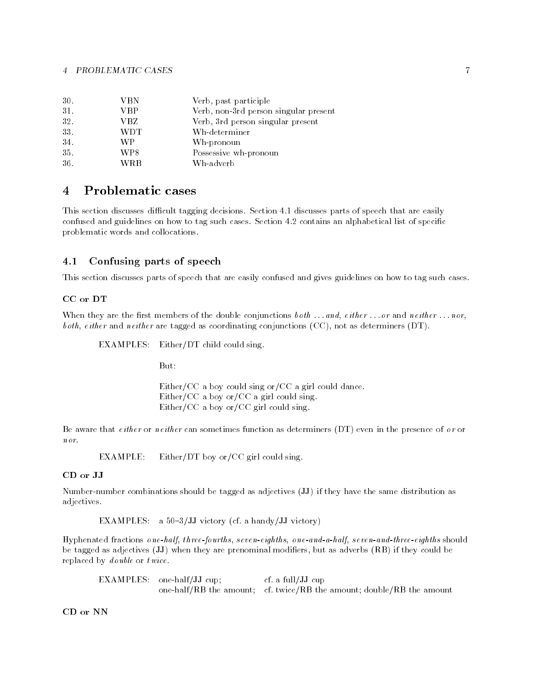| 30. | VBN        | Verb, past participle                 |
|-----|------------|---------------------------------------|
| 31. | VBP        | Verb, non-3rd person singular present |
| 32. | VBZ        | Verb, 3rd person singular present     |
| 33. | <b>WDT</b> | Wh-determiner                         |
| 34. | WР         | Wh-pronoun                            |
| 35. | WP\$       | Possessive wh-pronoun                 |
| 36. | WRB        | Wh-adverb                             |

#### $\overline{4}$  Problematic cases --

This section discusses difficult tagging decisions. Section 4.1 discusses parts of speech that are easily confused and guidelines on how to tag such cases. Section 4.2 contains an alphabetical list of specic problematic words and collocations.

## 4.1 Confusing parts of speech

This section discusses parts of speech that are easily confused and gives guidelines on how to tag such cases.

#### CC or DT

When they are the first members of the double conjunctions  $\mathit{both} \dots \mathit{and}, \mathit{either} \dots \mathit{or} \mathit{and} \mathit{neither} \dots \mathit{nor},$ both, either and neither are tagged as coordinating conjunctions (CC), not as determiners (DT).

EXAMPLES: Either/DT child could sing.

Either/CC a boy could sing or/CC a girl could dance. Either/CC a boy or/CC a girl could sing. Either/CC a boy or/CC girl could sing.

Be aware that either or neither can sometimes function as determiners (DT) even in the presence of  $\sigma r$  or nor.

EXAMPLE: Either/DT boy or/CC girl could sing.

Number-number combinations should be tagged as adjectives (JJ) if they have the same distribution as adjectives.

EXAMPLES: a  $50-3/JJ$  victory (cf. a handy/JJ victory)

Hyphenated fractions one-half, three-fourths, seven-eighths, one-and-a-half, seven-and-three-eighths should be tagged as adjectives (JJ) when they are prenominal modiers, but as adverbs (RB) if they could be replaced by d ouble or twice.

EXAMPLES: one-half/JJ cup; cf. a full/JJ cup one-half/RB the amount; cf. twice/RB the amount; double/RB the amount

CD or NN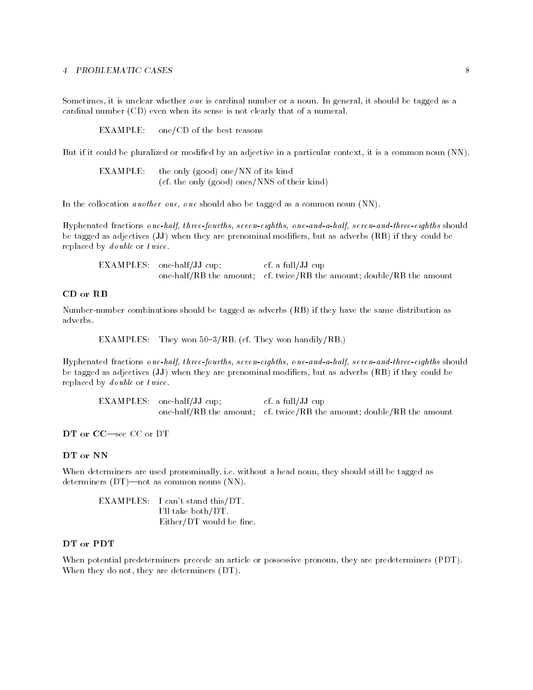Sometimes, it is unclear whether  $\theta$  ne is cardinal number or a noun. In general, it should be tagged as a cardinal number (CD) even when its sense is not clearly that of a numeral.

EXAMPLE: one/CD of the best reasons

But if it could be pluralized or modified by an adjective in a particular context, it is a common noun (NN).

| EXAMPLE: | the only (good) one/NN of its kind           |  |
|----------|----------------------------------------------|--|
|          | (cf. the only (good) ones/NNS of their kind) |  |

In the collocation *another one*, *one* should also be tagged as a common noun (NN).

Hyphenated fractions one-half, three-fourths, seven-eighths, one-and-a-half, seven-and-three-eighths should be tagged as adjectives (JJ) when they are prenominal modiers, but as adverbs (RB) if they could be replaced by d ouble or twice.

EXAMPLES: one-half/JJ cup; cf. a full/JJ cup one-half/RB the amount; cf. twice/RB the amount; double/RB the amount

#### CD or RB

Number-number combinations should be tagged as adverbs (RB) if they have the same distribution as adverbs.

EXAMPLES: They won  $50-3/RB$ . (cf. They won handily/RB.)

Hyphenated fractions one-half, three-fourths, seven-eighths, one-and-a-half, seven-and-three-eighths should be tagged as adjectives (JJ) when they are prenominal modiers, but as adverbs (RB) if they could be replaced by d ouble or twice.

EXAMPLES: one-half/JJ cup; cf. a full/JJ cup one-half/RB the amount; cf. twice/RB the amount; double/RB the amount

DT or CC-see CC or DT

#### DT or NN

When determiners are used pronominally, i.e. without a head noun, they should still be tagged as determiners  $(DT)$ —not as common nouns  $(NN)$ .

EXAMPLES: I can't stand this/DT. I'll take both/DT.  $Either/DT$  would be fine.

#### DT or PDT

When potential predeterminers precede an article or possessive pronoun, they are predeterminers (PDT). When they do not, they are determiners (DT).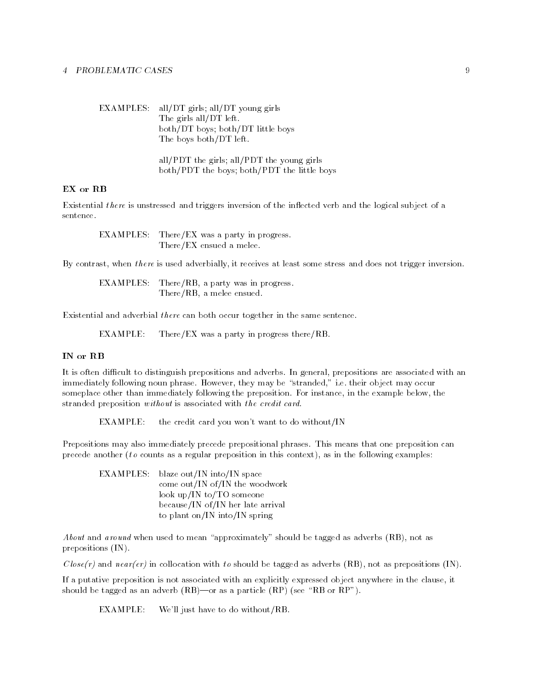EXAMPLES: all/DT girls; all/DT young girls The girls all/DT left. both/DT boys; both/DT little boys The boys both/DT left. all/PDT the girls; all/PDT the young girls

both/PDT the boys; both/PDT the little boys

#### EX or RB

Existential *there* is unstressed and triggers inversion of the inflected verb and the logical subject of a sentence.

EXAMPLES: There/EX was a party in progress. There/EX ensued a melee.

By contrast, when there is used adverbially, it receives at least some stress and does not trigger inversion.

EXAMPLES: There/RB, a party was in progress. There/RB, a melee ensued.

Existential and adverbial there can both occur together in the same sentence.

EXAMPLE: There/EX was a party in progress there/RB.

#### IN or RB

It is often difficult to distinguish prepositions and adverbs. In general, prepositions are associated with an immediately following noun phrase. However, they may be "stranded," i.e. their object may occur someplace other than immediately following the preposition. For instance, in the example below, the stranded preposition without is associated with the credit card.

EXAMPLE: the credit card you won't want to do without/IN

Prepositions may also immediately precede prepositional phrases. This means that one preposition can precede another (to counts as a regular preposition in this context), as in the following examples:

EXAMPLES: blaze out/IN into/IN space come out/IN of/IN the woodwork look up/IN to/TO someone because/IN of/IN her late arrival to plant on/IN into/IN spring

About and around when used to mean "approximately" should be tagged as adverbs  $(RB)$ , not as prepositions (IN).

 $Close(r)$  and  $near(er)$  in collocation with to should be tagged as adverbs (RB), not as prepositions (IN).

If a putative preposition is not associated with an explicitly expressed object anywhere in the clause, it should be tagged as an adverb  $(RB)$ —or as a particle  $(RP)$  (see "RB or RP").

EXAMPLE: We'll just have to do without/RB.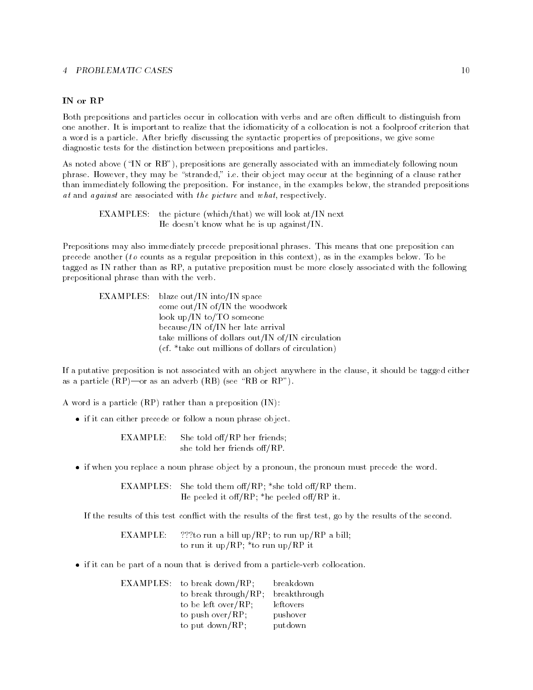#### IN or RP

Both prepositions and particles occur in collocation with verbs and are often difficult to distinguish from one another. It is important to realize that the idiomaticity of a collocation is not a foolproof criterion that a word is a particle. After briefly discussing the syntactic properties of prepositions, we give some diagnostic tests for the distinction between prepositions and particles.

As noted above ("IN or RB"), prepositions are generally associated with an immediately following noun phrase. However, they may be "stranded," i.e. their object may occur at the beginning of a clause rather than immediately following the preposition. For instance, in the examples below, the stranded prepositions at and against are associated with the picture and what, respectively.

EXAMPLES: the picture (which/that) we will look at/IN next He doesn't know what he is up against/IN.

Prepositions may also immediately precede prepositional phrases. This means that one preposition can precede another (to counts as a regular preposition in this context), as in the examples below. To be tagged as IN rather than as RP, a putative preposition must be more closely associated with the following prepositional phrase than with the verb.

| EXAMPLES: blaze out/IN into/IN space               |
|----------------------------------------------------|
| come out/IN of/IN the woodwork                     |
| look up/IN to/TO someone                           |
| because/IN of/IN her late arrival                  |
| take millions of dollars out/IN of/IN circulation  |
| (cf. *take out millions of dollars of circulation) |

If a putative preposition is not associated with an object anywhere in the clause, it should be tagged either as a particle  $(RP)$ —or as an adverb  $(RB)$  (see "RB or RP").

A word is a particle (RP) rather than a preposition (IN):

if it can either precede or follow a noun phrase object.

She told off/RP her friends; EXAMPLE: she told her friends off/RP.

if when you replace a noun phrase object by a pronoun, the pronoun must precede the word.

EXAMPLES: She told them of  $RP$ ; \*she told of  $RP$  them. He peeled it off/RP;  $*$ he peeled off/RP it.

If the results of this test conflict with the results of the first test, go by the results of the second.

EXAMPLE: ???to run a bill up/RP; to run up/RP a bill; to run it up/RP; \*to run up/RP it

if it can be part of a noun that is derived from a particle-verb collocation.

| EXAMPLES: to break down/RP; | breakdown    |
|-----------------------------|--------------|
| to break through/ $RP$ ;    | breakthrough |
| to be left over/ $RP$ ;     | leftovers    |
| to push over/ $RP$ ;        | pushover     |
| to put $down/RP$ ;          | putdown      |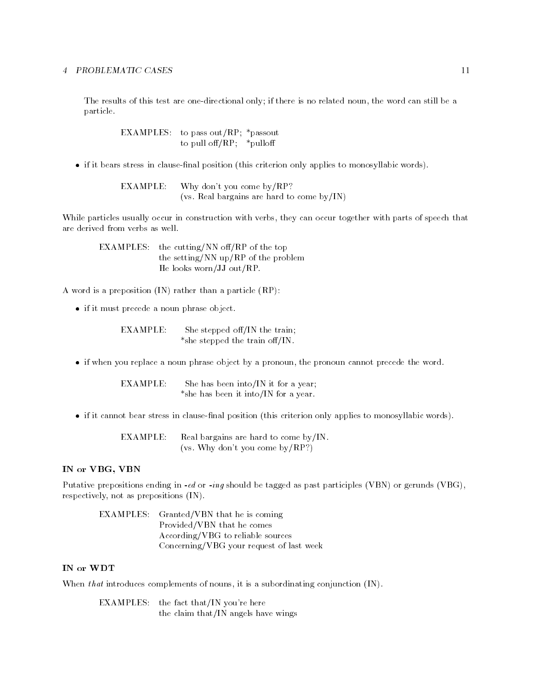The results of this test are one-directional only; if there is no related noun, the word can still be a particle.

> EXAMPLES: to pass out/RP;  $*$  passout to pull of  $f(RP; *p$ ulloff

if it bears stress in clause-nal position (this criterion only applies to monosyllabic words).

EXAMPLE: Why don't you come by/RP? (vs. Real bargains are hard to come by/IN)

While particles usually occur in construction with verbs, they can occur together with parts of speech that are derived from verbs as well.

EXAMPLES: the cutting/NN off/RP of the top the setting/NN up/RP of the problem He looks worn/JJ out/RP.

A word is a preposition (IN) rather than a particle (RP):

if it must precede a noun phrase object.

EXAMPLE: She stepped off/IN the train; \*she stepped the train off/IN.

if when you replace a noun phrase object by a pronoun, the pronoun cannot precede the word.

EXAMPLE: She has been into/IN it for a year; \*she has been it into/IN for a year.

if it cannot bear stress in clause-nal position (this criterion only applies to monosyllabic words).

EXAMPLE: Real bargains are hard to come by/IN. (vs. Why don't you come by/RP?)

#### IN or VBG, VBN

Putative prepositions ending in  $-e$ d or  $-i$ ng should be tagged as past participles (VBN) or gerunds (VBG), respectively, not as prepositions (IN).

EXAMPLES: Granted/VBN that he is coming Provided/VBN that he comes According/VBG to reliable sources Concerning/VBG your request of last week

#### IN or WDT

When that introduces complements of nouns, it is a subordinating conjunction  $(IN)$ .

EXAMPLES: the fact that/IN you're here the claim that/IN angels have wings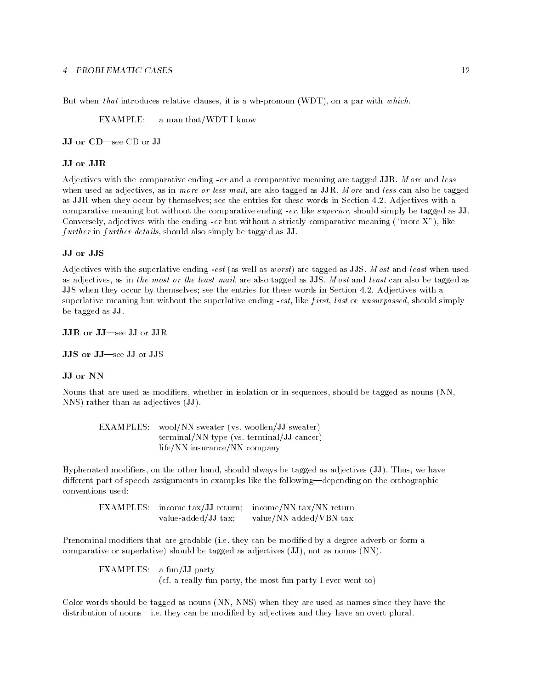But when that introduces relative clauses, it is a wh-pronoun (WDT), on a par with which.

EXAMPLE: a man that/WDT I know

JJ or CD-see CD or JJ

Adjectives with the comparative ending  $-er$  and a comparative meaning are tagged JJR. More and less when used as adjectives, as in more or less mail, are also tagged as JJR. More and less can also be tagged as JJR when they occur by themselves; see the entries for these words in Section 4.2. Adjectives with a comparative meaning but without the comparative ending -er, like superior, should simply be tagged as JJ. Conversely, adjectives with the ending -er but without a strictly comparative meaning ("more X"), like f urther in further details, should also simply be tagged as JJ.

#### JJ or JJS

Adjectives with the superlative ending -est (as well as worst) are tagged as JJS. Most and least when used as adjectives, as in the most or the least mail, are also tagged as JJS. Most and least can also be tagged as JJS when they occur by themselves; see the entries for these words in Section 4.2. Adjectives with a superlative meaning but without the superlative ending  $-est$ , like first, last or unsurpassed, should simply be tagged as JJ.

JJR or JJ-see JJ or JJR

JJS or JJ-see JJ or JJS

#### JJ or NN

Nouns that are used as modiers, whether in isolation or in sequences, should be tagged as nouns (NN, NNS) rather than as adjectives (JJ).

EXAMPLES: wool/NN sweater (vs. woollen/JJ sweater) terminal/NN type (vs. terminal/JJ cancer) life/NN insurance/NN company

Hyphenated modiers, on the other hand, should always be tagged as adjectives (JJ). Thus, we have different part-of-speech assignments in examples like the following—depending on the orthographic conventions used:

EXAMPLES: income-tax/JJ return; income/NN tax/NN return value-added/JJ tax; value/NN added/VBN tax

Prenominal modifiers that are gradable (i.e. they can be modified by a degree adverb or form a comparative or superlative) should be tagged as adjectives (JJ), not as nouns (NN).

EXAMPLES: a fun/JJ party (cf. a really fun party, the most fun party I ever went to)

Color words should be tagged as nouns (NN, NNS) when they are used as names since they have the distribution of nouns—i.e. they can be modified by adjectives and they have an overt plural.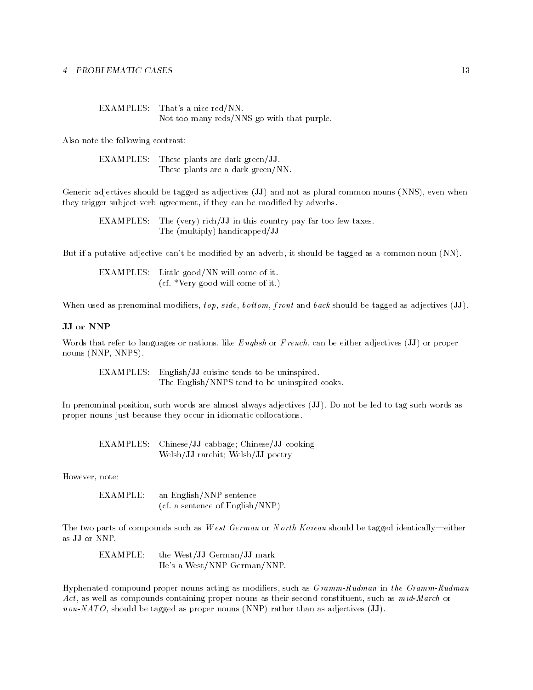| EXAMPLES: That's a nice red/NN.            |
|--------------------------------------------|
| Not too many reds/NNS go with that purple. |

Also note the following contrast:

EXAMPLES: These plants are dark green/JJ. These plants are a dark green/NN.

Generic adjectives should be tagged as adjectives (JJ) and not as plural common nouns (NNS), even when they trigger subject-verb agreement, if they can be modified by adverbs.

EXAMPLES: The (very) rich/JJ in this country pay far too few taxes. The (multiply) handicapped/JJ

But if a putative adjective can't be modified by an adverb, it should be tagged as a common noun (NN).

EXAMPLES: Little good/NN will come of it. (cf. \*Very good will come of it.)

When used as prenominal modifiers,  $top, side, bottom, front and back should be tagged as adjectives (JJ).$ 

#### JJ or NNP

Words that refer to languages or nations, like English or French, can be either adjectives (JJ) or proper nouns (NNP, NNPS).

EXAMPLES: English/JJ cuisine tends to be uninspired. The English/NNPS tend to be uninspired cooks.

In prenominal position, such words are almost always adjectives (JJ). Do not be led to tag such words as proper nouns just because they occur in idiomatic collocations.

EXAMPLES: Chinese/JJ cabbage; Chinese/JJ cooking Welsh/JJ rarebit; Welsh/JJ poetry

However, note:

EXAMPLE: an English/NNP sentence (cf. a sentence of English/NNP)

The two parts of compounds such as W est German or N orth Korean should be tagged identically—either as JJ or NNP.

EXAMPLE: the West/JJ German/JJ mark He's a West/NNP German/NNP.

Hyphenated compound proper nouns acting as modifiers, such as  $Gramm-Rudman$  in the Gramm-Rudman Act, as well as compounds containing proper nouns as their second constituent, such as  $mid-March$  or non-NATO, should be tagged as proper nouns (NNP) rather than as adjectives (JJ).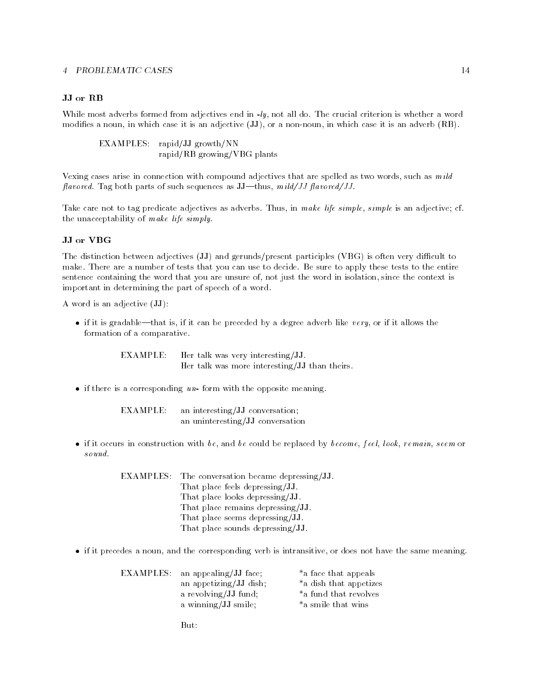#### JJ or RB

While most adverbs formed from adjectives end in  $-ly$ , not all do. The crucial criterion is whether a word modifies a noun, in which case it is an adjective (JJ), or a non-noun, in which case it is an adverb (RB).

EXAMPLES: rapid/JJ growth/NN rapid/RB growing/VBG plants

Vexing cases arise in connection with compound adjectives that are spelled as two words, such as  $m \, i \, d$ flavored. Tag both parts of such sequences as  $JJ-thus$ , mild/JJ flavored/JJ.

Take care not to tag predicate adjectives as adverbs. Thus, in make life simple, simple is an adjective; cf. the unacceptability of make life simply.

The distinction between adjectives (JJ) and gerunds/present participles (VBG) is often very difficult to make. There are a number of tests that you can use to decide. Be sure to apply these tests to the entire sentence containing the word that you are unsure of, not just the word in isolation, since the context is important in determining the part of speech of a word.

A word is an adjective (JJ):

 $\bullet$  if it is gradable—that is, if it can be preceded by a degree adverb like very, or if it allows the formation of a comparative.

> EXAMPLE: Her talk was very interesting/JJ. Her talk was more interesting/JJ than theirs.

 $\bullet$  if there is a corresponding un-form with the opposite meaning.

EXAMPLE: an interesting/JJ conversation; an uninteresting/JJ conversation

if it occurs in construction with be, and be could be replaced by become, feel, look, remain, seem or

| <b>EXAMPLES:</b> The conversation became depressing/JJ. |
|---------------------------------------------------------|
| That place feels depressing/JJ.                         |
| That place looks depressing/JJ.                         |
| That place remains depressing/JJ.                       |
| That place seems depressing/JJ.                         |
| That place sounds depressing/JJ.                        |
|                                                         |

if it precedes a noun, and the corresponding verb is intransitive, or does not have the same meaning.

| EXAMPLES: an appealing/JJ face; | *a face that appeals   |
|---------------------------------|------------------------|
| an appetizing/JJ dish;          | *a dish that appetizes |
| a revolving/JJ fund;            | *a fund that revolves  |
| a winning/JJ smile;             | *a smile that wins     |

 $But:$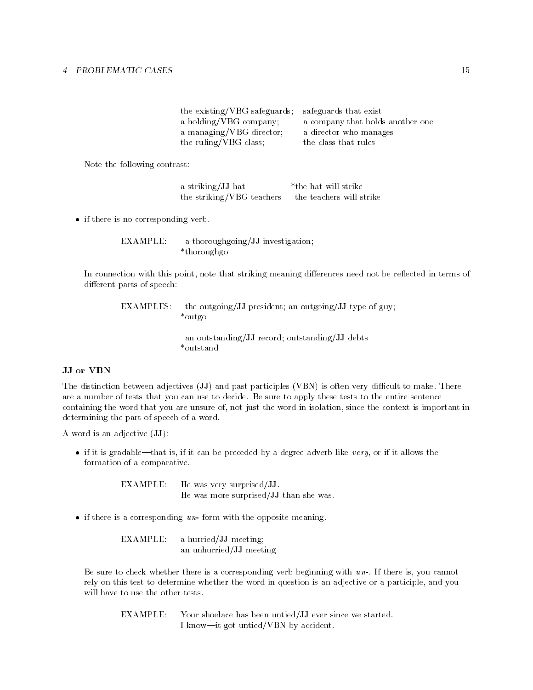| the existing/VBG safeguards; | safeguards that exist            |
|------------------------------|----------------------------------|
| a holding/VBG company;       | a company that holds another one |
| a managing/VBG director;     | a director who manages           |
| the ruling/VBG class;        | the class that rules             |

Note the following contrast:

a striking/JJ hat \*the hat will strike the striking/VBG teachers the teachers will strike

• if there is no corresponding verb.

EXAMPLE: a thoroughgoing/JJ investigation; \*thoroughgo

In connection with this point, note that striking meaning differences need not be reflected in terms of different parts of speech:

EXAMPLES: the outgoing/JJ president; an outgoing/JJ type of guy; \*outgo

> an outstanding/JJ record; outstanding/JJ debts \*outstand

#### JJ or VBN

The distinction between adjectives  $(\mathbf{JJ})$  and past participles  $(\mathbf{VBN})$  is often very difficult to make. There are a number of tests that you can use to decide. Be sure to apply these tests to the entire sentence containing the word that you are unsure of, not just the word in isolation, since the context is important in determining the part of speech of a word.

A word is an adjective (JJ):

 $\bullet$  if it is gradable—that is, if it can be preceded by a degree adverb like very, or if it allows the formation of a comparative.

> EXAMPLE: He was very surprised/JJ. He was more surprised/JJ than she was.

 $\bullet$  if there is a corresponding un-form with the opposite meaning.

EXAMPLE: a hurried/JJ meeting; an unhurried/JJ meeting

Be sure to check whether there is a corresponding verb beginning with  $u_n$ . If there is, you cannot rely on this test to determine whether the word in question is an adjective or a participle, and you will have to use the other tests.

EXAMPLE: Your shoelace has been untied/JJ ever since we started. I know-it got untied/VBN by accident.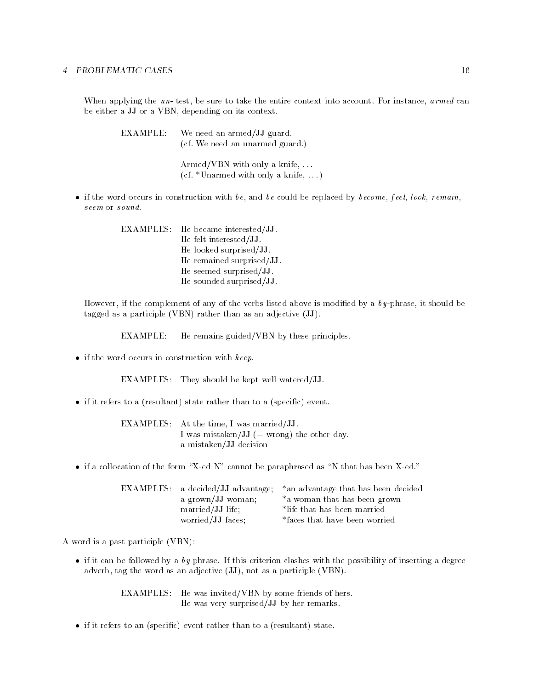When applying the  $u_n$ - test, be sure to take the entire context into account. For instance,  $a \, r \, med \, can$ be either a JJ or a VBN, depending on its context.

| EXAMPLE: : | We need an armed/JJ guard.<br>(cf. We need an unarmed guard.)        |
|------------|----------------------------------------------------------------------|
|            | $Armed/VBN$ with only a knife,<br>(cf. *Unarmed with only a knife, ) |

if the word occurs in construction with be, and be could be replaced by become, feel, look, remain, seem or sound.

> EXAMPLES: He became interested/JJ. He felt interested/JJ. He looked surprised/JJ. He remained surprised/JJ. He seemed surprised/JJ. He sounded surprised/JJ.

However, if the complement of any of the verbs listed above is modified by a  $by$ -phrase, it should be tagged as a participle (VBN) rather than as an adjective (JJ).

EXAMPLE: He remains guided/VBN by these principles.

 $\bullet$  if the word occurs in construction with  $keep.$ 

EXAMPLES: They should be kept well watered/JJ.

 $\bullet$  if it refers to a (resultant) state rather than to a (specific) event.

EXAMPLES: At the time, I was married/JJ. I was mistaken/JJ  $(=$  wrong) the other day. a mistaken/JJ decision

 $\bullet$  if a collocation of the form "X-ed N" cannot be paraphrased as "N that has been X-ed."

|                   | EXAMPLES: a decided/JJ advantage; *an advantage that has been decided |
|-------------------|-----------------------------------------------------------------------|
| a grown/JJ woman; | *a woman that has been grown                                          |
| married/JJ life;  | *life that has been married                                           |
| worried/JJ faces; | *faces that have been worried                                         |

A word is a past participle (VBN):

 $\bullet$  if it can be followed by a by phrase. If this criterion clashes with the possibility of inserting a degree adverb, tag the word as an adjective (JJ), not as a participle (VBN).

> EXAMPLES: He was invited/VBN by some friends of hers. He was very surprised/JJ by her remarks.

 $\bullet$  if it refers to an (specific) event rather than to a (resultant) state.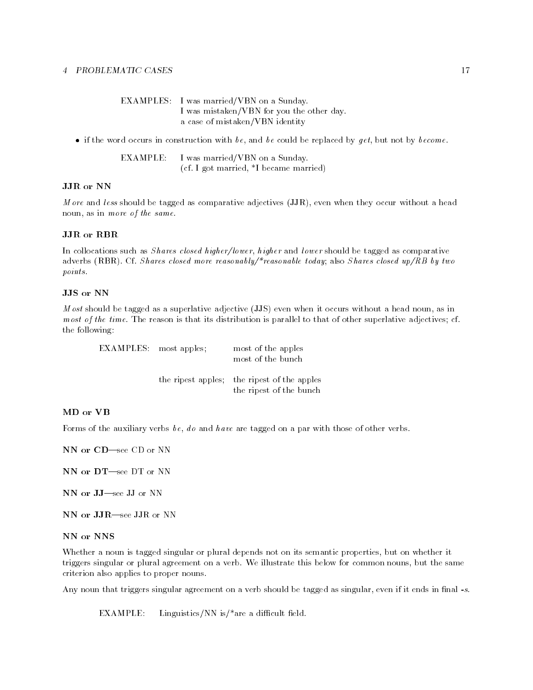| EXAMPLES: I was married/VBN on a Sunday.  |
|-------------------------------------------|
| I was mistaken/VBN for you the other day. |
| a case of mistaken/VBN identity           |

• if the word occurs in construction with be, and be could be replaced by get, but not by become.

EXAMPLE: I was married/VBN on a Sunday. (cf. I got married, \*I became married)

#### JJR or NN

*M* ore and less should be tagged as comparative adjectives (JJR), even when they occur without a head noun, as in more of the same.

#### JJR or RBR

In collocations such as *Shares closed higher/lower, higher* and *lower* should be tagged as comparative adverbs (RBR). Cf. Shares closed more reasonably/\*reasonable today; also Shares closed up/RB by two points.

M ost should be tagged as a superlative adjective (JJS) even when it occurs without a head noun, as in most of the time. The reason is that its distribution is parallel to that of other superlative adjectives; cf. the following:

EXAMPLES: most apples; most of the apples most of the bunch the ripest apples; the ripest of the apples the ripest of the bunch

#### MD or VB

Forms of the auxiliary verbs be, do and have are tagged on a par with those of other verbs.

NN or CD-see CD or NN

NN or DT-see DT or NN

NN or JJ-see JJ or NN

NN or JJR-see JJR or NN

NN or NNS

Whether a noun is tagged singular or plural depends not on its semantic properties, but on whether it triggers singular or plural agreement on a verb. We illustrate this below for common nouns, but the same criterion also applies to proper nouns.

Any noun that triggers singular agreement on a verb should be tagged as singular, even if it ends in final -s.

 $EXAMPLE:$  Linguistics/NN is/\*are a difficult field.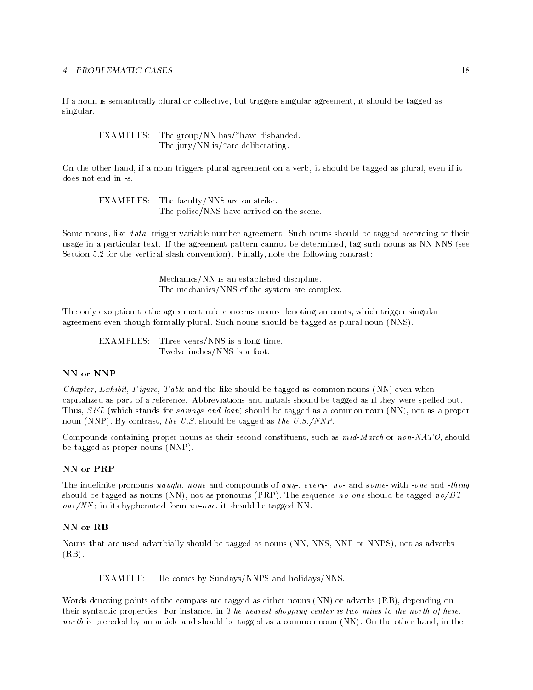If a noun is semantically plural or collective, but triggers singular agreement, it should be tagged as singular.

EXAMPLES: The group/NN has/\*have disbanded. The jury/NN is/\*are deliberating.

On the other hand, if a noun triggers plural agreement on a verb, it should be tagged as plural, even if it does not end in  $-s$ .

EXAMPLES: The faculty/NNS are on strike. The police/NNS have arrived on the scene.

Some nouns, like data, trigger variable number agreement. Such nouns should be tagged according to their usage in a particular text. If the agreement pattern cannot be determined, tag such nouns as NNjNNS (see Section 5.2 for the vertical slash convention). Finally, note the following contrast:

> Mechanics/NN is an established discipline. The mechanics/NNS of the system are complex.

The only exception to the agreement rule concerns nouns denoting amounts, which trigger singular agreement even though formally plural. Such nouns should be tagged as plural noun (NNS).

EXAMPLES: Three years/NNS is a long time. Twelve inches/NNS is a foot.

#### NN or NNP

*Chapter, Exhibit, Figure, Table* and the like should be tagged as common nouns  $(NN)$  even when capitalized as part of a reference. Abbreviations and initials should be tagged as if they were spelled out. Thus,  $S\mathcal{B}L$  (which stands for savings and loan) should be tagged as a common noun (NN), not as a proper noun (NNP). By contrast, the U.S. should be tagged as the U.S./NNP.

Compounds containing proper nouns as their second constituent, such as  $midMarch$  or  $non-NATO$ , should be tagged as proper nouns (NNP).

#### NN or PRP

The indefinite pronouns naught, none and compounds of any-, every-, no- and some- with -one and -thing should be tagged as nouns (NN), not as pronouns (PRP). The sequence no one should be tagged no/DT  $one/NN$ ; in its hyphenated form no-one, it should be tagged NN.

#### NN or RB

Nouns that are used adverbially should be tagged as nouns (NN, NNS, NNP or NNPS), not as adverbs  $(RB)$ .

EXAMPLE: He comes by Sundays/NNPS and holidays/NNS.

Words denoting points of the compass are tagged as either nouns (NN) or adverbs (RB), depending on their syntactic properties. For instance, in The nearest shopping center is two miles to the north of here, north is preceded by an article and should be tagged as a common noun (NN). On the other hand, in the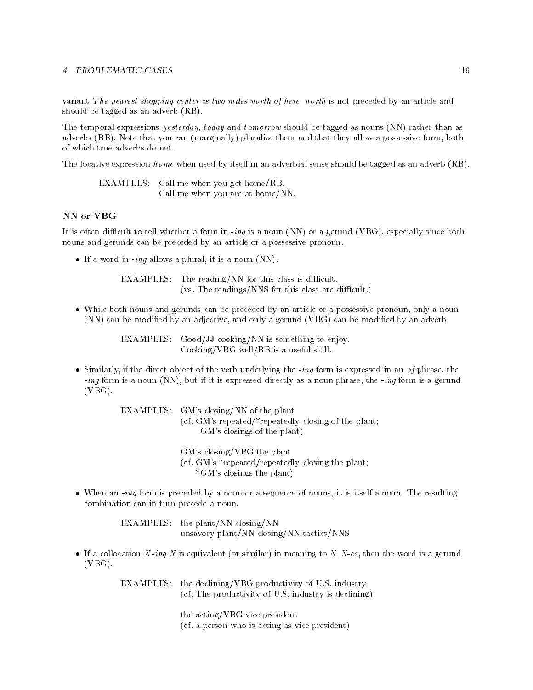variant The nearest shopping center is two miles north of here, north is not preceded by an article and should be tagged as an adverb (RB).

The temporal expressions *yesterday, today* and *tomorrow* should be tagged as nouns (NN) rather than as adverbs (RB). Note that you can (marginally) pluralize them and that they allow a possessive form, both of which true adverbs do not.

The locative expression *home* when used by itself in an adverbial sense should be tagged as an adverb (RB).

EXAMPLES: Call me when you get home/RB. Call me when you are at home/NN.

## NN or VBG

It is often difficult to tell whether a form in  $-i n q$  is a noun (NN) or a gerund (VBG), especially since both nouns and gerunds can be preceded by an article or a possessive pronoun.

 $\bullet$  If a word in *-ing* allows a plural, it is a noun (NN).

 $EXAMPLES:$  The reading/NN for this class is difficult.  $(vs. The readings/NNS for this class are difficult.)$ 

 While both nouns and gerunds can be preceded by an article or a possessive pronoun, only a noun (NN) can be modied by an adjective, and only a gerund (VBG) can be modied by an adverb.

> EXAMPLES: Good/JJ cooking/NN is something to enjoy. Cooking/VBG well/RB is a useful skill.

 $\bullet$  Similarly, if the direct object of the verb underlying the -ing form is expressed in an of-phrase, the -ing form is a noun (NN), but if it is expressed directly as a noun phrase, the -ing form is a gerund (VBG).

> EXAMPLES: GM's closing/NN of the plant (cf. GM's repeated/\*repeatedly closing of the plant; GM's closings of the plant)

> > GM's closing/VBG the plant (cf. GM's \*repeated/repeatedly closing the plant; \*GM's closings the plant)

 When an -ing form is preceded by a noun or a sequence of nouns, it is itself a noun. The resulting combination can in turn precede a noun.

> EXAMPLES: the plant/NN closing/NN unsavory plant/NN closing/NN tactics/NNS

If a collocation X-ing N is equivalent (or similar) in meaning to N X-es, then the word is a gerund (VBG).

> EXAMPLES: the declining/VBG productivity of U.S. industry (cf. The productivity of U.S. industry is declining)

> > the acting/VBG vice president (cf. a person who is acting as vice president)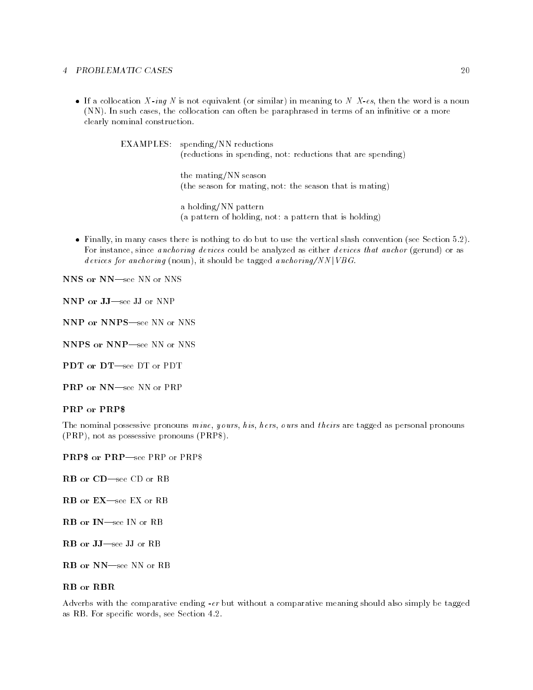If a collocation X-ing N is not equivalent (or similar) in meaning to N X-es, then the word is a noun (NN). In such cases, the collocation can often be paraphrased in terms of an innitive or a more clearly nominal construction.

> EXAMPLES: spending/NN reductions (reductions in spending, not: reductions that are spending)

> > the mating/NN season (the season for mating, not: the season that is mating)

a holding/NN pattern (a pattern of holding, not: a pattern that is holding)

 Finally, in many cases there is nothing to do but to use the vertical slash convention (see Section 5.2). For instance, since *anchoring devices* could be analyzed as either *devices that anchor* (gerund) or as devices for anchoring (noun), it should be tagged anchoring/NN |  $VBG$ .

NNS or NN-see NN or NNS

NNP or JJ-see JJ or NNP

NNP or NNPS-see NN or NNS

NNPS or NNP-see NN or NNS

PDT or DT-see DT or PDT

PRP or NN-see NN or PRP

#### PRP or PRP\$

The nominal possessive pronouns  $\text{min}$ , yours, h is, hers, ours and theirs are tagged as personal pronouns (PRP), not as possessive pronouns (PRP\$).

**PRP\$** or PRP—see PRP or PRP\$

- RB or CD-see CD or RB
- RB or EX-see EX or RB
- RB or IN-see IN or RB
- RB or JJ-see JJ or RB
- RB or NN-see NN or RB

### **RB** or **RBR**

Adverbs with the comparative ending -er but without a comparative meaning should also simply be tagged as RB. For specic words, see Section 4.2.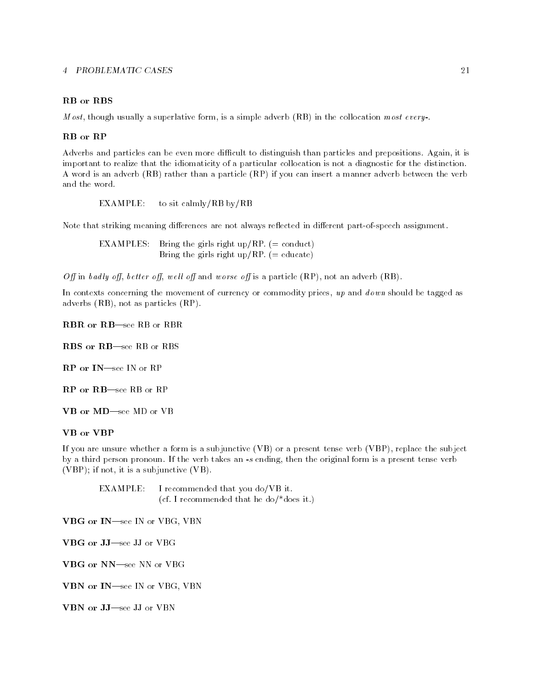## RB or RBS

*M* ost, though usually a superlative form, is a simple adverb (RB) in the collocation most every-.

Adverbs and particles can be even more difficult to distinguish than particles and prepositions. Again, it is important to realize that the idiomaticity of a particular collocation is not a diagnostic for the distinction. A word is an adverb (RB) rather than a particle (RP) if you can insert a manner adverb between the verb and the word.

EXAMPLE: to sit calmly/RB by/RB

Note that striking meaning differences are not always reflected in different part-of-speech assignment.

EXAMPLES: Bring the girls right up/RP.  $(=$  conduct) Bring the girls right up/RP.  $(=$  educate)

Off in badly off, better off, well off and worse off is a particle  $(RP)$ , not an adverb  $(RB)$ .

In contexts concerning the movement of currency or commodity prices,  $up$  and  $down$  should be tagged as adverbs (RB), not as particles (RP).

RBR or RB-see RB or RBR

RBS or RB-see RB or RBS

RP or IN-see IN or RP

RP or RB-see RB or RP

VB or MD-see MD or VB

If you are unsure whether a form is a subjunctive (VB) or a present tense verb (VBP), replace the subject by a third person pronoun. If the verb takes an -s ending, then the original form is a present tense verb (VBP); if not, it is a subjunctive (VB).

EXAMPLE: I recommended that you do/VB it. (cf. I recommended that he do/\*does it.)

VBG or IN-see IN or VBG, VBN

VBG or JJ-see JJ or VBG

VBG or NN-see NN or VBG

VBN or IN-see IN or VBG, VBN

VBN or JJ-see JJ or VBN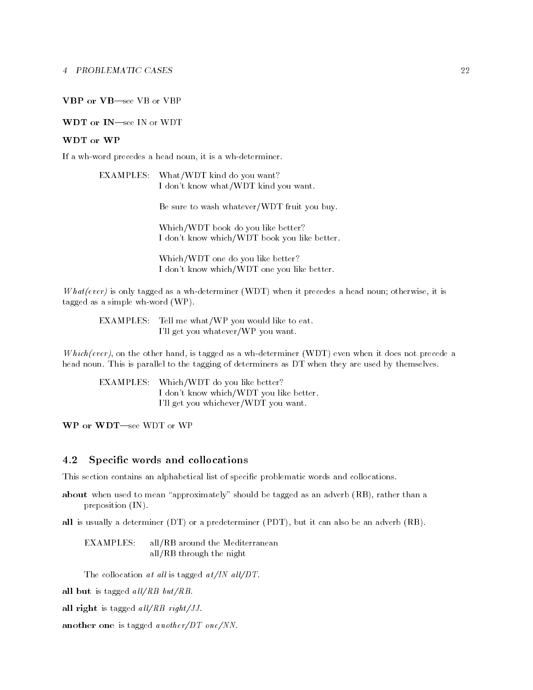### VBP or VB-see VB or VBP

#### WDT or IN-see IN or WDT

#### WDT or WP

If a wh-word precedes a head noun, it is a wh-determiner.

| EXAMPLES: What/WDT kind do you want? |
|--------------------------------------|
| I don't know what/WDT kind you want. |

Be sure to wash whatever/WDT fruit you buy.

Which/WDT book do you like better? I don't know which/WDT book you like better.

Which/WDT one do you like better? I don't know which/WDT one you like better.

What(ever) is only tagged as a wh-determiner (WDT) when it precedes a head noun; otherwise, it is tagged as a simple wh-word (WP).

EXAMPLES: Tell me what/WP you would like to eat. I'll get you whatever/WP you want.

 $Which(ever)$ , on the other hand, is tagged as a wh-determiner (WDT) even when it does not precede a head noun. This is parallel to the tagging of determiners as DT when they are used by themselves.

EXAMPLES: Which/WDT do you like better? I don't know which/WDT you like better. I'll get you whichever/WDT you want.

WP or WDT-see WDT or WP

### 4.2 Specic words and collocations

This section contains an alphabetical list of specific problematic words and collocations.

about when used to mean "approximately" should be tagged as an adverb (RB), rather than a preposition (IN).

all is usually a determiner (DT) or a predeterminer (PDT), but it can also be an adverb (RB).

EXAMPLES: all/RB around the Mediterranean all/RB through the night

The collocation at all is tagged  $at/IN$  all/DT.

all but is tagged  $all/RB$  but/RB.

all right is tagged  $all/RB$  right/JJ.

another one is tagged another/DT one/NN.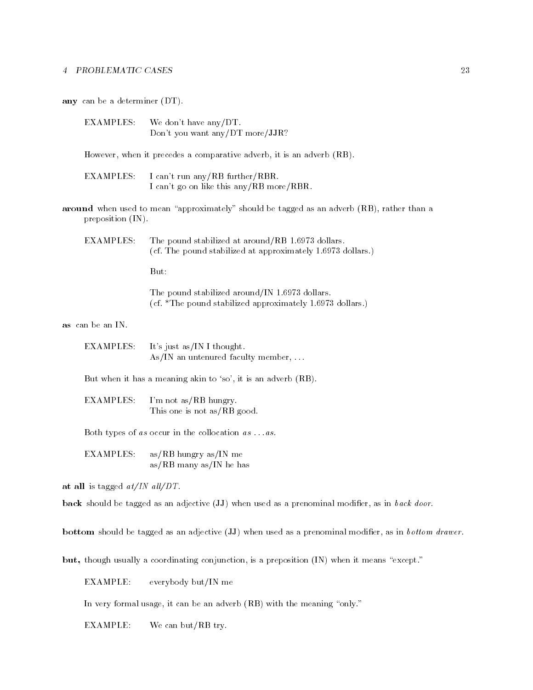any can be a determiner (DT).

EXAMPLES: We don't have any/DT. Don't you want any/DT more/JJR?

However, when it precedes a comparative adverb, it is an adverb (RB).

- EXAMPLES: I can't run any/RB further/RBR. I can't go on like this any/RB more/RBR.
- around when used to mean "approximately" should be tagged as an adverb  $(RB)$ , rather than a preposition (IN).

EXAMPLES: The pound stabilized at around/RB 1.6973 dollars. (cf. The pound stabilized at approximately 1.6973 dollars.)

But:

The pound stabilized around/IN 1.6973 dollars. (cf. \*The pound stabilized approximately 1.6973 dollars.)

as can be an IN.

EXAMPLES: It's just as/IN I thought. As/IN an untenured faculty member,  $\ldots$ 

But when it has a meaning akin to 'so', it is an adverb (RB).

EXAMPLES: I'm not as/RB hungry. This one is not as/RB good.

Both types of as occur in the collocation  $as \dots as$ .

EXAMPLES: as/RB hungry as/IN me as/RB many as/IN he has

at all is tagged  $at/IN$  all/DT.

back should be tagged as an adjective (JJ) when used as a prenominal modifier, as in back door.

bottom should be tagged as an adjective (JJ) when used as a prenominal modifier, as in bottom drawer.

but, though usually a coordinating conjunction, is a preposition (IN) when it means "except."

EXAMPLE: everybody but/IN me

In very formal usage, it can be an adverb  $(RB)$  with the meaning "only."

EXAMPLE: We can but/RB try.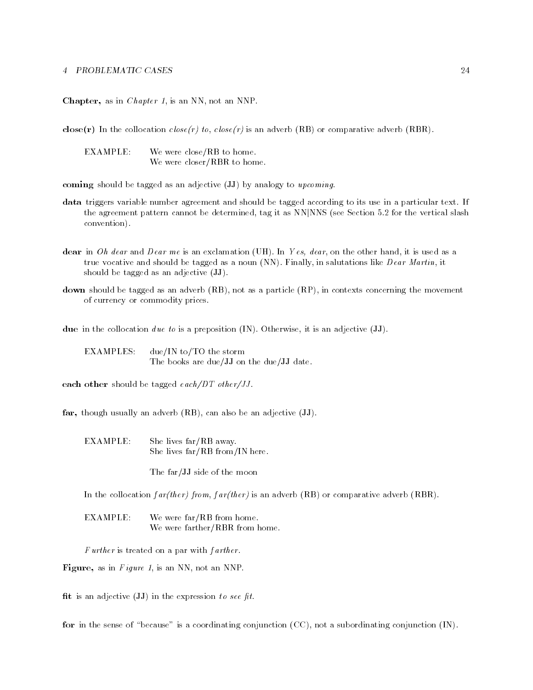Chapter, as in *Chapter 1*, is an NN, not an NNP.

close(r) In the collocation  $close(r)$  to,  $close(r)$  is an adverb (RB) or comparative adverb (RBR).

EXAMPLE: We were close/RB to home. We were closer/RBR to home.

coming should be tagged as an adjective  $(JJ)$  by analogy to upcoming.

- data triggers variable number agreement and should be tagged according to its use in a particular text. If the agreement pattern cannot be determined, tag it as NNjNNS (see Section 5.2 for the vertical slash convention).
- dear in Oh dear and Dear me is an exclamation (UH). In Yes, dear, on the other hand, it is used as a true vocative and should be tagged as a noun (NN). Finally, in salutations like  $Dear Martin$ , it should be tagged as an adjective (JJ).
- down should be tagged as an adverb (RB), not as a particle (RP), in contexts concerning the movement of currency or commodity prices.

due in the collocation due to is a preposition  $(IN)$ . Otherwise, it is an adjective  $(JJ)$ .

EXAMPLES: due/IN to/TO the storm The books are due/JJ on the due/JJ date.

each other should be tagged  $each/DT\ other/JJ$ .

far, though usually an adverb (RB), can also be an adjective (JJ).

EXAMPLE: She lives far/RB away. She lives far/RB from/IN here.

The far/JJ side of the moon

In the collocation  $far(ther) from, far(ther)$  is an adverb (RB) or comparative adverb (RBR).

EXAMPLE: We were far/RB from home. We were farther/RBR from home.

Further is treated on a par with farther.

Figure, as in Figure 1, is an NN, not an NNP.

fit is an adjective  $(\mathbf{JJ})$  in the expression to see fit.

for in the sense of "because" is a coordinating conjunction  $(CC)$ , not a subordinating conjunction  $(IN)$ .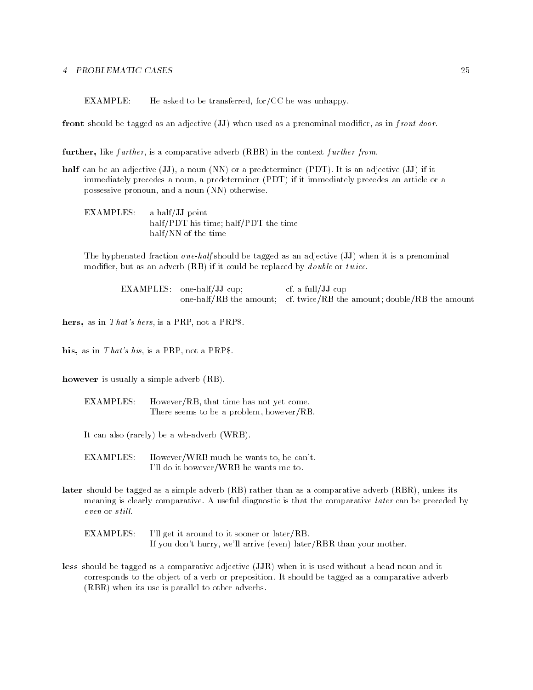EXAMPLE: He asked to be transferred, for/CC he was unhappy.

front should be tagged as an adjective  $(JJ)$  when used as a prenominal modifier, as in f ront door.

further, like farther, is a comparative adverb (RBR) in the context further from.

- half can be an adjective (JJ), a noun (NN) or a predeterminer (PDT). It is an adjective (JJ) if it immediately precedes a noun, a predeterminer (PDT) if it immediately precedes an article or a possessive pronoun, and a noun (NN) otherwise.
	- EXAMPLES: a half/JJ point half/PDT his time; half/PDT the time half/NN of the time

The hyphenated fraction  $\omega$  ne-half should be tagged as an adjective (JJ) when it is a prenominal modifier, but as an adverb  $(RB)$  if it could be replaced by *double* or *twice*.

> EXAMPLES: one-half/JJ cup; cf. a full/JJ cup one-half/RB the amount; cf. twice/RB the amount; double/RB the amount

hers, as in That's hers, is a PRP, not a PRP\$.

his, as in That's his, is a PRP, not a PRP\$.

however is usually a simple adverb (RB).

EXAMPLES: However/RB, that time has not yet come. There seems to be a problem, however/RB.

It can also (rarely) be a wh-adverb (WRB).

EXAMPLES: However/WRB much he wants to, he can't. I'll do it however/WRB he wants me to.

later should be tagged as a simple adverb (RB) rather than as a comparative adverb (RBR), unless its meaning is clearly comparative. A useful diagnostic is that the comparative *later* can be preceded by even or still.

EXAMPLES: I'll get it around to it sooner or later/RB. If you don't hurry, we'll arrive (even) later/RBR than your mother.

less should be tagged as a comparative adjective (JJR) when it is used without a head noun and it corresponds to the object of a verb or preposition. It should be tagged as a comparative adverb (RBR) when its use is parallel to other adverbs.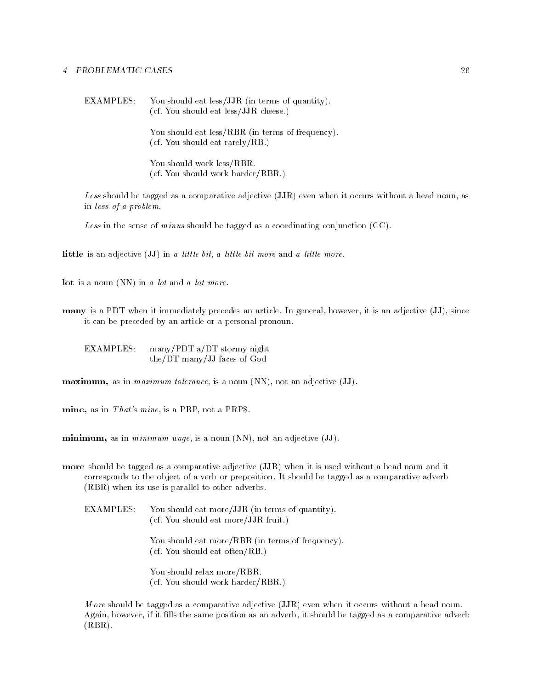EXAMPLES: You should eat less/JJR (in terms of quantity). (cf. You should eat less/JJR cheese.)

> You should eat less/RBR (in terms of frequency). (cf. You should eat rarely/RB.)

You should work less/RBR. (cf. You should work harder/RBR.)

Less should be tagged as a comparative adjective (JJR) even when it occurs without a head noun, as in less of a problem.

Less in the sense of minus should be tagged as a coordinating conjunction  $(CC)$ .

little is an adjective (JJ) in a little bit, a little bit more and a little more.

lot is a noun (NN) in a lot and a lot more.

many is a PDT when it immediately precedes an article. In general, however, it is an adjective (JJ), since it can be preceded by an article or a personal pronoun.

EXAMPLES: many/PDT a/DT stormy night the/DT many/JJ faces of God

maximum, as in *maximum tolerance*, is a noun (NN), not an adjective (JJ).

mine, as in  $That's$  mine, is a PRP, not a PRP\$.

minimum, as in *minimum wage*, is a noun  $(NN)$ , not an adjective  $(JJ)$ .

more should be tagged as a comparative adjective (JJR) when it is used without a head noun and it corresponds to the object of a verb or preposition. It should be tagged as a comparative adverb (RBR) when its use is parallel to other adverbs.

**EXAMPLES:** You should eat more/JJR (in terms of quantity). (cf. You should eat more/JJR fruit.)

> You should eat more/RBR (in terms of frequency). (cf. You should eat often/RB.)

You should relax more/RBR. (cf. You should work harder/RBR.)

M ore should be tagged as a comparative adjective (JJR) even when it occurs without a head noun. Again, however, if it fills the same position as an adverb, it should be tagged as a comparative adverb  $(RBR)$ .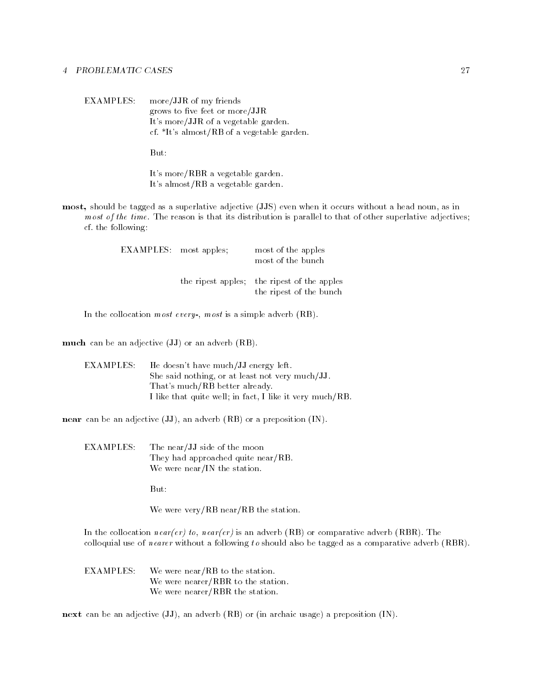EXAMPLES: more/JJR of my friends grows to five feet or more/JJR It's more/JJR of a vegetable garden. cf. \*It's almost/RB of a vegetable garden.

But:

It's more/RBR a vegetable garden. It's almost/RB a vegetable garden.

most, should be tagged as a superlative adjective (JJS) even when it occurs without a head noun, as in most of the time. The reason is that its distribution is parallel to that of other superlative adjectives; cf. the following:

| <b>EXAMPLES</b> : most apples; | most of the apples<br>most of the bunch                                |
|--------------------------------|------------------------------------------------------------------------|
|                                | the ripest apples; the ripest of the apples<br>the ripest of the bunch |

In the collocation most every-, most is a simple adverb (RB).

much can be an adjective (JJ) or an adverb (RB).

| EXAMPLES: - | He doesn't have much/JJ energy left.                     |
|-------------|----------------------------------------------------------|
|             | She said nothing, or at least not very much/JJ.          |
|             | That's much/RB better already.                           |
|             | I like that quite well; in fact, I like it very much/RB. |

near can be an adjective (JJ), an adverb (RB) or a preposition (IN).

**EXAMPLES:** The near/JJ side of the moon They had approached quite near/RB. We were near/IN the station.

But:

We were very/RB near/RB the station.

In the collocation near(er) to, near(er) is an adverb (RB) or comparative adverb (RBR). The colloquial use of nearer without a following to should also be tagged as a comparative adverb (RBR).

**EXAMPLES:** We were near/RB to the station. We were nearer/RBR to the station. We were nearer/RBR the station.

next can be an adjective (JJ), an adverb (RB) or (in archaic usage) a preposition (IN).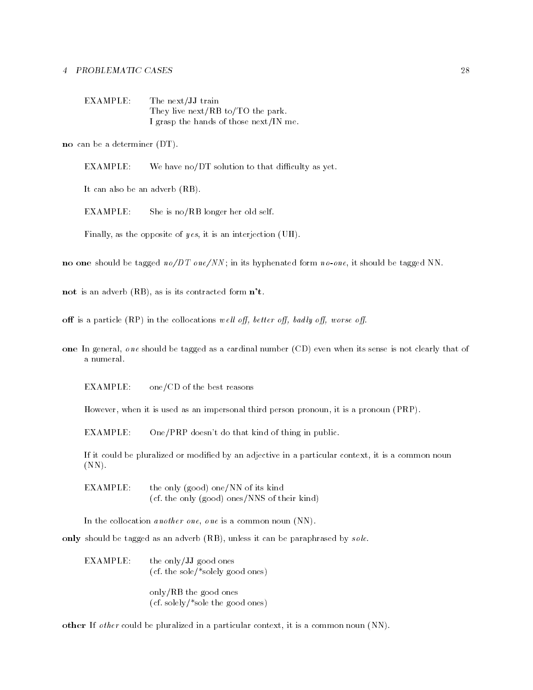| EXAMPLE: | The next/JJ train                      |
|----------|----------------------------------------|
|          | They live next/RB to/TO the park.      |
|          | I grasp the hands of those next/IN me. |

no can be a determiner (DT).

 $EXAMPLE:$  We have no/DT solution to that difficulty as yet.

It can also be an adverb (RB).

EXAMPLE: She is no/RB longer her old self.

Finally, as the opposite of y es, it is an interjection (UH).

no one should be tagged  $n \frac{\partial DT}{\partial N}$ ; in its hyphenated form  $n \frac{\partial \rho}{\partial N}$ , it should be tagged NN.

not is an adverb (RB), as is its contracted form  $n't$ .

off is a particle (RP) in the collocations well off, better off, badly off, worse off.

one In general, one should be tagged as a cardinal number (CD) even when its sense is not clearly that of

EXAMPLE: one/CD of the best reasons

However, when it is used as an impersonal third person pronoun, it is a pronoun (PRP).

EXAMPLE: One/PRP doesn't do that kind of thing in public.

If it could be pluralized or modified by an adjective in a particular context, it is a common noun  $(NN)$ .

EXAMPLE: the only (good) one/NN of its kind (cf. the only (good) ones/NNS of their kind)

In the collocation *another one*, *one* is a common noun (NN).

only should be tagged as an adverb (RB), unless it can be paraphrased by sole.

EXAMPLE: the only/JJ good ones (cf. the sole/\*solely good ones) only/RB the good ones

(cf. solely/\*sole the good ones)

other If o ther could be pluralized in a particular context, it is a common noun (NN).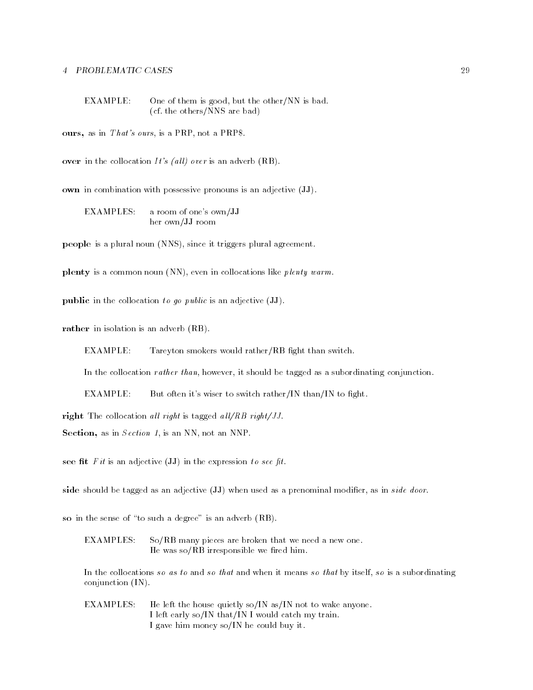EXAMPLE: One of them is good, but the other/NN is bad. (cf. the others/NNS are bad)

ours, as in  $That's \text{ ours},$  is a PRP, not a PRP\$.

over in the collocation  $It's$  (all) over is an adverb (RB).

own in combination with possessive pronouns is an adjective (JJ).

EXAMPLES: a room of one's own/JJ her own/JJ room

people is a plural noun (NNS), since it triggers plural agreement.

plenty is a common noun (NN), even in collocations like  $\emph{plenty warm}$ .

**public** in the collocation to go public is an adjective  $(\mathbf{JJ})$ .

rather in isolation is an adverb (RB).

EXAMPLE: Tareyton smokers would rather/RB fight than switch.

In the collocation *rather than*, however, it should be tagged as a subordinating conjunction.

EXAMPLE: But often it's wiser to switch rather/IN than/IN to fight.

right The collocation all right is tagged all/RB right/JJ.

Section, as in Section 1, is an NN, not an NNP.

see fit  $Fit$  is an adjective (JJ) in the expression to see fit.

side should be tagged as an adjective (JJ) when used as a prenominal modifier, as in side door.

so in the sense of "to such a degree" is an adverb (RB).

EXAMPLES: So/RB many pieces are broken that we need a new one. He was  $\rm{so}/{RB}$  irresponsible we fired him.

In the collocations so as to and so that and when it means so that by itself, so is a subordinating conjunction (IN).

EXAMPLES: He left the house quietly so/IN as/IN not to wake anyone. I left early so/IN that/IN I would catch my train. I gave him money so/IN he could buy it.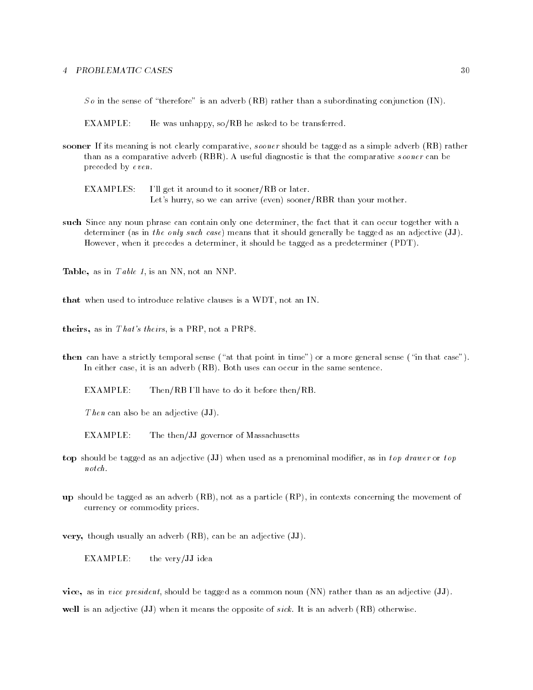So in the sense of "therefore" is an adverb (RB) rather than a subordinating conjunction (IN).

EXAMPLE: He was unhappy,  $so/RB$  he asked to be transferred.

sooner If its meaning is not clearly comparative, sooner should be tagged as a simple adverb (RB) rather than as a comparative adverb (RBR). A useful diagnostic is that the comparative sooner can be preceded by even.

EXAMPLES: I'll get it around to it sooner/RB or later. Let's hurry, so we can arrive (even) sooner/RBR than your mother.

such Since any noun phrase can contain only one determiner, the fact that it can occur together with a determiner (as in the only such case) means that it should generally be tagged as an adjective (JJ). However, when it precedes a determiner, it should be tagged as a predeterminer (PDT).

Table, as in Table 1, is an NN, not an NNP.

that when used to introduce relative clauses is a WDT, not an IN.

theirs, as in That's theirs, is a PRP, not a PRP\$.

then can have a strictly temporal sense ("at that point in time") or a more general sense ("in that case"). In either case, it is an adverb (RB). Both uses can occur in the same sentence.

EXAMPLE: Then/RB I'll have to do it before then/RB.

Then can also be an adjective  $(\mathbf{JJ})$ .

EXAMPLE: The then/JJ governor of Massachusetts

- top should be tagged as an adjective (JJ) when used as a prenominal modifier, as in top drawer or top  $notch.$
- up should be tagged as an adverb (RB), not as a particle (RP), in contexts concerning the movement of currency or commodity prices.

very, though usually an adverb (RB), can be an adjective (JJ).

EXAMPLE: the very/JJ idea

vice, as in vice president, should be tagged as a common noun (NN) rather than as an adjective (JJ). well is an adjective (JJ) when it means the opposite of *sick*. It is an adverb (RB) otherwise.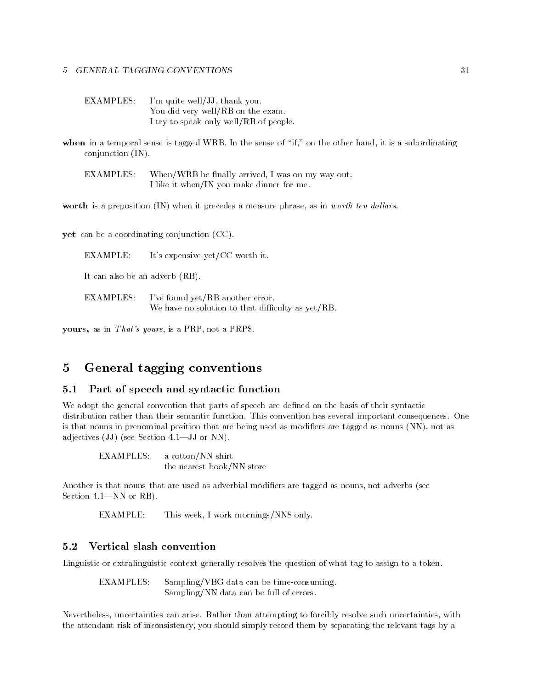EXAMPLES: I'm quite well/JJ, thank you. You did very well/RB on the exam. I try to speak only well/RB of people.

when in a temporal sense is tagged WRB. In the sense of "if," on the other hand, it is a subordinating conjunction (IN).

When/WRB he finally arrived, I was on my way out. EXAMPLES: I like it when/IN you make dinner for me.

worth is a preposition (IN) when it precedes a measure phrase, as in worth ten dollars.

yet can be a coordinating conjunction (CC).

EXAMPLE: It's expensive yet/CC worth it.

It can also be an adverb (RB).

EXAMPLES: I've found yet/RB another error. We have no solution to that difficulty as  $yet/RB$ .

yours, as in  $That's yours$ , is a PRP, not a PRP\$.

#### General tagging conventions  $\overline{5}$  $\sim$

## 5.1 Part of speech and syntactic function

We adopt the general convention that parts of speech are defined on the basis of their syntactic distribution rather than their semantic function. This convention has several important consequences. One is that nouns in prenominal position that are being used as modifiers are tagged as nouns (NN), not as adjectives  $(JJ)$  (see Section 4.1-JJ or NN).

**EXAMPLES:** a cotton/NN shirt the nearest book/NN store

Another is that nouns that are used as adverbial modifiers are tagged as nouns, not adverbs (see Section  $4.1$ —NN or RB).

EXAMPLE: This week, I work mornings/NNS only.

### 5.2 Vertical slash convention

Linguistic or extralinguistic context generally resolves the question of what tag to assign to a token.

**EXAMPLES:**  $Sampling/VBG$  data can be time-consuming. Sampling/NN data can be full of errors.

Nevertheless, uncertainties can arise. Rather than attempting to forcibly resolve such uncertainties, with the attendant risk of inconsistency, you should simply record them by separating the relevant tags by a